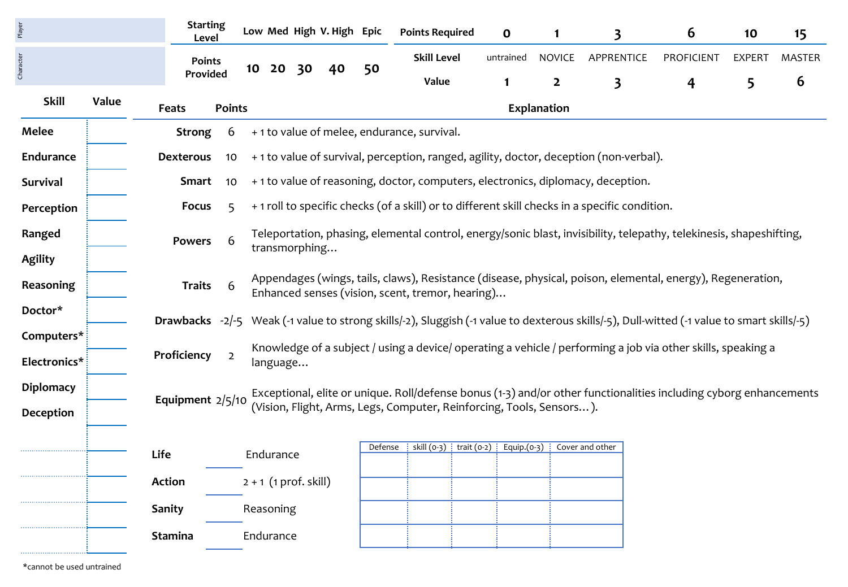|       |                                           |                                                            |                                                                                                                           |                                   |          |                                           |                                                |                                 |         | O                                                                                                   | 1                                                             | 3                       | 6                                                                              | 10                                                                                                                                                                                                                                                                                       | 15                                                                                                                                                                                                                                                                                                                                                                                                                                                                                                                                                                                                                   |
|-------|-------------------------------------------|------------------------------------------------------------|---------------------------------------------------------------------------------------------------------------------------|-----------------------------------|----------|-------------------------------------------|------------------------------------------------|---------------------------------|---------|-----------------------------------------------------------------------------------------------------|---------------------------------------------------------------|-------------------------|--------------------------------------------------------------------------------|------------------------------------------------------------------------------------------------------------------------------------------------------------------------------------------------------------------------------------------------------------------------------------------|----------------------------------------------------------------------------------------------------------------------------------------------------------------------------------------------------------------------------------------------------------------------------------------------------------------------------------------------------------------------------------------------------------------------------------------------------------------------------------------------------------------------------------------------------------------------------------------------------------------------|
|       |                                           |                                                            |                                                                                                                           |                                   |          |                                           |                                                |                                 |         |                                                                                                     | <b>NOVICE</b>                                                 |                         | <b>PROFICIENT</b>                                                              | <b>EXPERT</b>                                                                                                                                                                                                                                                                            | <b>MASTER</b>                                                                                                                                                                                                                                                                                                                                                                                                                                                                                                                                                                                                        |
|       |                                           |                                                            |                                                                                                                           |                                   |          |                                           |                                                |                                 |         | $\mathbf{1}$                                                                                        | $\overline{2}$                                                | $\overline{\mathbf{3}}$ | 4                                                                              | 5                                                                                                                                                                                                                                                                                        | 6                                                                                                                                                                                                                                                                                                                                                                                                                                                                                                                                                                                                                    |
|       |                                           |                                                            |                                                                                                                           |                                   |          |                                           |                                                |                                 |         |                                                                                                     |                                                               |                         |                                                                                |                                                                                                                                                                                                                                                                                          |                                                                                                                                                                                                                                                                                                                                                                                                                                                                                                                                                                                                                      |
|       | <b>Strong</b>                             | 6                                                          |                                                                                                                           |                                   |          |                                           |                                                |                                 |         |                                                                                                     |                                                               |                         |                                                                                |                                                                                                                                                                                                                                                                                          |                                                                                                                                                                                                                                                                                                                                                                                                                                                                                                                                                                                                                      |
|       |                                           | 10                                                         |                                                                                                                           |                                   |          |                                           |                                                |                                 |         |                                                                                                     |                                                               |                         |                                                                                |                                                                                                                                                                                                                                                                                          |                                                                                                                                                                                                                                                                                                                                                                                                                                                                                                                                                                                                                      |
|       |                                           | 10                                                         |                                                                                                                           |                                   |          |                                           |                                                |                                 |         |                                                                                                     |                                                               |                         |                                                                                |                                                                                                                                                                                                                                                                                          |                                                                                                                                                                                                                                                                                                                                                                                                                                                                                                                                                                                                                      |
|       | <b>Focus</b>                              | 5                                                          |                                                                                                                           |                                   |          |                                           |                                                |                                 |         |                                                                                                     |                                                               |                         |                                                                                |                                                                                                                                                                                                                                                                                          |                                                                                                                                                                                                                                                                                                                                                                                                                                                                                                                                                                                                                      |
|       |                                           |                                                            |                                                                                                                           |                                   |          |                                           |                                                |                                 |         |                                                                                                     |                                                               |                         |                                                                                |                                                                                                                                                                                                                                                                                          |                                                                                                                                                                                                                                                                                                                                                                                                                                                                                                                                                                                                                      |
|       |                                           |                                                            |                                                                                                                           |                                   |          |                                           |                                                |                                 |         |                                                                                                     |                                                               |                         |                                                                                |                                                                                                                                                                                                                                                                                          |                                                                                                                                                                                                                                                                                                                                                                                                                                                                                                                                                                                                                      |
|       |                                           | 6                                                          |                                                                                                                           |                                   |          |                                           |                                                |                                 |         |                                                                                                     |                                                               |                         |                                                                                |                                                                                                                                                                                                                                                                                          |                                                                                                                                                                                                                                                                                                                                                                                                                                                                                                                                                                                                                      |
|       |                                           |                                                            |                                                                                                                           |                                   |          |                                           |                                                |                                 |         |                                                                                                     |                                                               |                         |                                                                                |                                                                                                                                                                                                                                                                                          |                                                                                                                                                                                                                                                                                                                                                                                                                                                                                                                                                                                                                      |
|       |                                           |                                                            |                                                                                                                           |                                   |          |                                           |                                                |                                 |         |                                                                                                     |                                                               |                         |                                                                                |                                                                                                                                                                                                                                                                                          |                                                                                                                                                                                                                                                                                                                                                                                                                                                                                                                                                                                                                      |
|       | Proficiency<br>$\overline{2}$<br>language |                                                            |                                                                                                                           |                                   |          |                                           |                                                |                                 |         |                                                                                                     |                                                               |                         |                                                                                |                                                                                                                                                                                                                                                                                          |                                                                                                                                                                                                                                                                                                                                                                                                                                                                                                                                                                                                                      |
|       |                                           |                                                            |                                                                                                                           |                                   |          |                                           |                                                |                                 |         |                                                                                                     |                                                               |                         |                                                                                |                                                                                                                                                                                                                                                                                          |                                                                                                                                                                                                                                                                                                                                                                                                                                                                                                                                                                                                                      |
|       |                                           |                                                            | (Vision, Flight, Arms, Legs, Computer, Reinforcing, Tools, Sensors).                                                      |                                   |          |                                           |                                                |                                 |         |                                                                                                     |                                                               |                         |                                                                                |                                                                                                                                                                                                                                                                                          |                                                                                                                                                                                                                                                                                                                                                                                                                                                                                                                                                                                                                      |
|       |                                           |                                                            |                                                                                                                           |                                   |          |                                           |                                                |                                 |         |                                                                                                     |                                                               |                         |                                                                                |                                                                                                                                                                                                                                                                                          |                                                                                                                                                                                                                                                                                                                                                                                                                                                                                                                                                                                                                      |
|       |                                           |                                                            |                                                                                                                           |                                   |          |                                           |                                                |                                 |         |                                                                                                     |                                                               |                         |                                                                                |                                                                                                                                                                                                                                                                                          |                                                                                                                                                                                                                                                                                                                                                                                                                                                                                                                                                                                                                      |
|       |                                           |                                                            |                                                                                                                           |                                   |          |                                           |                                                |                                 |         |                                                                                                     |                                                               |                         |                                                                                |                                                                                                                                                                                                                                                                                          |                                                                                                                                                                                                                                                                                                                                                                                                                                                                                                                                                                                                                      |
|       |                                           |                                                            |                                                                                                                           |                                   |          |                                           |                                                |                                 |         |                                                                                                     |                                                               |                         |                                                                                |                                                                                                                                                                                                                                                                                          |                                                                                                                                                                                                                                                                                                                                                                                                                                                                                                                                                                                                                      |
|       |                                           |                                                            |                                                                                                                           |                                   |          |                                           |                                                |                                 |         |                                                                                                     |                                                               |                         |                                                                                |                                                                                                                                                                                                                                                                                          |                                                                                                                                                                                                                                                                                                                                                                                                                                                                                                                                                                                                                      |
| Value |                                           | Feats<br>Life<br>Action<br><b>Sanity</b><br><b>Stamina</b> | <b>Starting</b><br>Level<br><b>Points</b><br>Provided<br><b>Dexterous</b><br>Smart<br>6<br><b>Powers</b><br><b>Traits</b> | <b>Points</b><br>Equipment 2/5/10 | 20<br>10 | 30<br>Endurance<br>Reasoning<br>Endurance | 40<br>transmorphing<br>$2 + 1$ (1 prof. skill) | Low Med High V. High Epic<br>50 | Defense | <b>Points Required</b><br><b>Skill Level</b><br>Value<br>+1 to value of melee, endurance, survival. | untrained<br>Enhanced senses (vision, scent, tremor, hearing) | Explanation             | skill (0-3) $\vdots$ trait (0-2) $\vdots$ Equip.(0-3) $\vdots$ Cover and other | APPRENTICE<br>+1 to value of survival, perception, ranged, agility, doctor, deception (non-verbal).<br>+1 to value of reasoning, doctor, computers, electronics, diplomacy, deception.<br>+ 1 roll to specific checks (of a skill) or to different skill checks in a specific condition. | Teleportation, phasing, elemental control, energy/sonic blast, invisibility, telepathy, telekinesis, shapeshifting,<br>Appendages (wings, tails, claws), Resistance (disease, physical, poison, elemental, energy), Regeneration,<br>Drawbacks -2/-5 Weak (-1 value to strong skills/-2), Sluggish (-1 value to dexterous skills/-5), Dull-witted (-1 value to smart skills/-5)<br>Knowledge of a subject / using a device/ operating a vehicle / performing a job via other skills, speaking a<br>Exceptional, elite or unique. Roll/defense bonus (1-3) and/or other functionalities including cyborg enhancements |

\*cannot be used untrained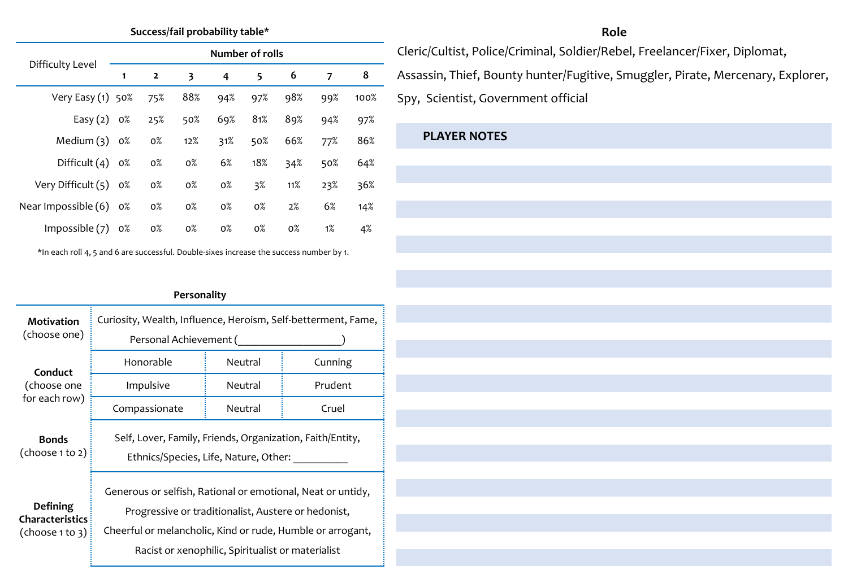## **Success/fail probability table\***

|                       | Number of rolls |                |       |       |       |       |       |      |  |  |  |
|-----------------------|-----------------|----------------|-------|-------|-------|-------|-------|------|--|--|--|
| Difficulty Level      | 1               | $\overline{2}$ | 3     | 4     | 5     | 6     | 7     | 8    |  |  |  |
| Very Easy $(1)$ 50%   |                 | 75%            | 88%   | 94%   | 97%   | 98%   | 99%   | 100% |  |  |  |
| Easy $(2)$ 0%         |                 | 25%            | 50%   | 69%   | 81%   | 89%   | 94%   | 97%  |  |  |  |
| Medium $(3)$ 0%       |                 | $0\%$          | 12%   | 31%   | 50%   | 66%   | 77%   | 86%  |  |  |  |
| Difficult $(4)$ 0%    |                 | $0\%$          | $0\%$ | 6%    | 18%   | 34%   | 50%   | 64%  |  |  |  |
| Very Difficult (5) 0% |                 | $0\%$          | $0\%$ | $0\%$ | 3%    | 11%   | 23%   | 36%  |  |  |  |
| Near Impossible (6)   | 0%              | $0\%$          | $0\%$ | $0\%$ | $0\%$ | 2%    | 6%    | 14%  |  |  |  |
| Impossible $(7)$      | 0%              | $0\%$          | $0\%$ | $0\%$ | $0\%$ | $0\%$ | $1\%$ | 4%   |  |  |  |

\*In each roll 4, 5 and 6 are successful. Double-sixes increase the success number by 1.

# **Role**

Cleric/Cultist, Police/Criminal, Soldier/Rebel, Freelancer/Fixer, Diplomat, Assassin, Thief, Bounty hunter/Fugitive, Smuggler, Pirate, Mercenary, Explorer, Spy, Scientist, Government official

# **PLAYER NOTES**

# **Personality**

| Motivation                                                   | Curiosity, Wealth, Influence, Heroism, Self-betterment, Fame,                                                                                                                    |         |         |  |  |  |  |  |  |
|--------------------------------------------------------------|----------------------------------------------------------------------------------------------------------------------------------------------------------------------------------|---------|---------|--|--|--|--|--|--|
| (choose one)                                                 | Personal Achievement (                                                                                                                                                           |         |         |  |  |  |  |  |  |
| Conduct                                                      | Honorable                                                                                                                                                                        | Neutral | Cunning |  |  |  |  |  |  |
| (choose one                                                  | Impulsive                                                                                                                                                                        | Neutral | Prudent |  |  |  |  |  |  |
| for each row)                                                | Compassionate                                                                                                                                                                    | Neutral | Cruel   |  |  |  |  |  |  |
| <b>Bonds</b><br>(choose 1 to 2)                              | Self, Lover, Family, Friends, Organization, Faith/Entity,<br>Ethnics/Species, Life, Nature, Other:                                                                               |         |         |  |  |  |  |  |  |
| <b>Defining</b><br><b>Characteristics</b><br>(choose 1 to 3) | Generous or selfish, Rational or emotional, Neat or untidy,<br>Progressive or traditionalist, Austere or hedonist,<br>Cheerful or melancholic, Kind or rude, Humble or arrogant, |         |         |  |  |  |  |  |  |
|                                                              | Racist or xenophilic, Spiritualist or materialist                                                                                                                                |         |         |  |  |  |  |  |  |